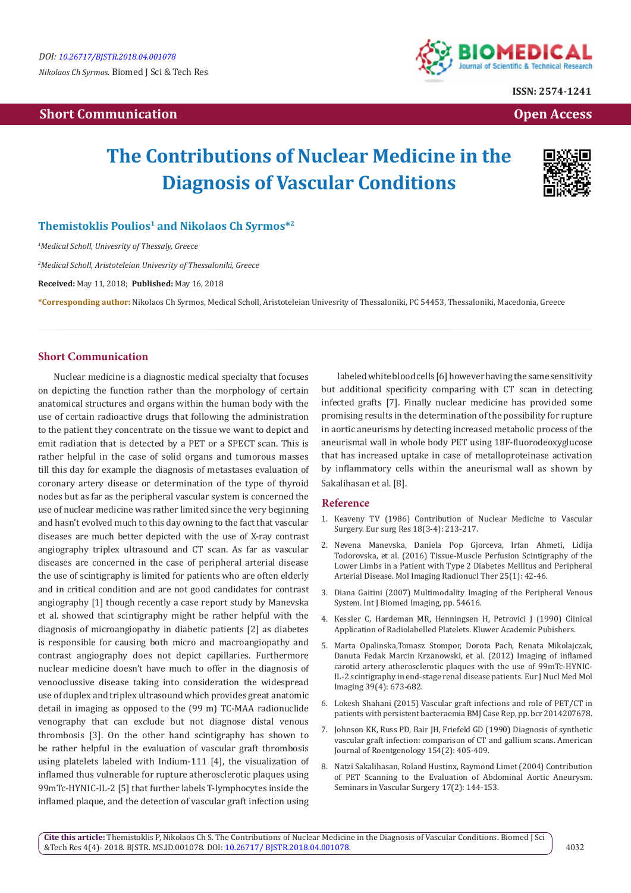## **Short Communication Communication Communication Communication Communication Communication Communication Communication**



**ISSN: 2574-1241**

# **The Contributions of Nuclear Medicine in the Diagnosis of Vascular Conditions**



### **Themistoklis Poulios1 and Nikolaos Ch Syrmos\*2**

*1 Medical Scholl, Univesrity of Thessaly, Greece*

*2 Medical Scholl, Aristoteleian Univesrity of Thessaloniki, Greece*

**Received:** May 11, 2018; **Published:** May 16, 2018

**\*Corresponding author:** Nikolaos Ch Syrmos, Medical Scholl, Aristoteleian Univesrity of Thessaloniki, PC 54453, Thessaloniki, Macedonia, Greece

#### **Short Communication**

Nuclear medicine is a diagnostic medical specialty that focuses on depicting the function rather than the morphology of certain anatomical structures and organs within the human body with the use of certain radioactive drugs that following the administration to the patient they concentrate on the tissue we want to depict and emit radiation that is detected by a PET or a SPECT scan. This is rather helpful in the case of solid organs and tumorous masses till this day for example the diagnosis of metastases evaluation of coronary artery disease or determination of the type of thyroid nodes but as far as the peripheral vascular system is concerned the use of nuclear medicine was rather limited since the very beginning and hasn't evolved much to this day owning to the fact that vascular diseases are much better depicted with the use of X-ray contrast angiography triplex ultrasound and CT scan. As far as vascular diseases are concerned in the case of peripheral arterial disease the use of scintigraphy is limited for patients who are often elderly and in critical condition and are not good candidates for contrast angiography [1] though recently a case report study by Manevska et al. showed that scintigraphy might be rather helpful with the diagnosis of microangiopathy in diabetic patients [2] as diabetes is responsible for causing both micro and macroangiopathy and contrast angiography does not depict capillaries. Furthermore nuclear medicine doesn't have much to offer in the diagnosis of venooclussive disease taking into consideration the widespread use of duplex and triplex ultrasound which provides great anatomic detail in imaging as opposed to the (99 m) TC-MAA radionuclide venography that can exclude but not diagnose distal venous thrombosis [3]. On the other hand scintigraphy has shown to be rather helpful in the evaluation of vascular graft thrombosis using platelets labeled with Indium-111 [4], the visualization of inflamed thus vulnerable for rupture atherosclerotic plaques using 99mTc-HYNIC-IL-2 [5] that further labels T-lymphocytes inside the inflamed plaque, and the detection of vascular graft infection using

labeled white blood cells [6] however having the same sensitivity but additional specificity comparing with CT scan in detecting infected grafts [7]. Finally nuclear medicine has provided some promising results in the determination of the possibility for rupture in aortic aneurisms by detecting increased metabolic process of the aneurismal wall in whole body PET using 18F-fluorodeoxyglucose that has increased uptake in case of metalloproteinase activation by inflammatory cells within the aneurismal wall as shown by Sakalihasan et al. [8].

#### **Reference**

- 1. [Keaveny TV \(1986\) Contribution of Nuclear Medicine to Vascular](https://www.ncbi.nlm.nih.gov/pubmed/3720815) [Surgery. Eur surg Res 18\(3-4\): 213-217.](https://www.ncbi.nlm.nih.gov/pubmed/3720815)
- 2. [Nevena Manevska, Daniela Pop Gjorceva, Irfan Ahmeti, Lidija](https://www.ncbi.nlm.nih.gov/pmc/articles/PMC4807349/) [Todorovska, et al. \(2016\) Tissue-Muscle Perfusion Scintigraphy of the](https://www.ncbi.nlm.nih.gov/pmc/articles/PMC4807349/) [Lower Limbs in a Patient with Type 2 Diabetes Mellitus and Peripheral](https://www.ncbi.nlm.nih.gov/pmc/articles/PMC4807349/) [Arterial Disease. Mol Imaging Radionucl Ther 25\(1\): 42-46.](https://www.ncbi.nlm.nih.gov/pmc/articles/PMC4807349/)
- 3. [Diana Gaitini \(2007\) Multimodality Imaging of the Peripheral Venous](https://www.ncbi.nlm.nih.gov/pubmed/18521181) [System. Int J Biomed Imaging, pp. 54616.](https://www.ncbi.nlm.nih.gov/pubmed/18521181)
- 4. [Kessler C, Hardeman MR, Henningsen H, Petrovici J \(1990\) Clinical](https://www.springer.com/in/book/9780792307297) [Application of Radiolabelled Platelets. Kluwer Academic Pubishers.](https://www.springer.com/in/book/9780792307297)
- 5. [Marta Opalinska,Tomasz Stompor, Dorota Pach, Renata Mikolajczak,](https://www.ncbi.nlm.nih.gov/pmc/articles/PMC3315638/) [Danuta Fedak Marcin Krzanowski, et al. \(2012\) Imaging of inflamed](https://www.ncbi.nlm.nih.gov/pmc/articles/PMC3315638/) [carotid artery atherosclerotic plaques with the use of 99mTc-HYNIC-](https://www.ncbi.nlm.nih.gov/pmc/articles/PMC3315638/)[IL-2 scintigraphy in end-stage renal disease patients. Eur J Nucl Med Mol](https://www.ncbi.nlm.nih.gov/pmc/articles/PMC3315638/) [Imaging 39\(4\): 673-682.](https://www.ncbi.nlm.nih.gov/pmc/articles/PMC3315638/)
- 6. [Lokesh Shahani \(2015\) Vascular graft infections and role of PET/CT in](https://www.ncbi.nlm.nih.gov/pubmed/25777486) [patients with persistent bacteraemia BMJ Case Rep, pp. bcr 2014207678.](https://www.ncbi.nlm.nih.gov/pubmed/25777486)
- 7. [Johnson KK, Russ PD, Bair JH, Friefeld GD \(1990\) Diagnosis of synthetic](https://www.ncbi.nlm.nih.gov/pubmed/2136964) [vascular graft infection: comparison of CT and gallium scans. American](https://www.ncbi.nlm.nih.gov/pubmed/2136964) [Journal of Roentgenology 154\(2\): 405-409.](https://www.ncbi.nlm.nih.gov/pubmed/2136964)
- 8. [Natzi Sakalihasan, Roland Hustinx, Raymond Limet \(2004\) Contribution](https://www.ncbi.nlm.nih.gov/pubmed/15185180) [of PET Scanning to the Evaluation of Abdominal Aortic Aneurysm.](https://www.ncbi.nlm.nih.gov/pubmed/15185180) [Seminars in Vascular Surgery 17\(2\): 144-153.](https://www.ncbi.nlm.nih.gov/pubmed/15185180)